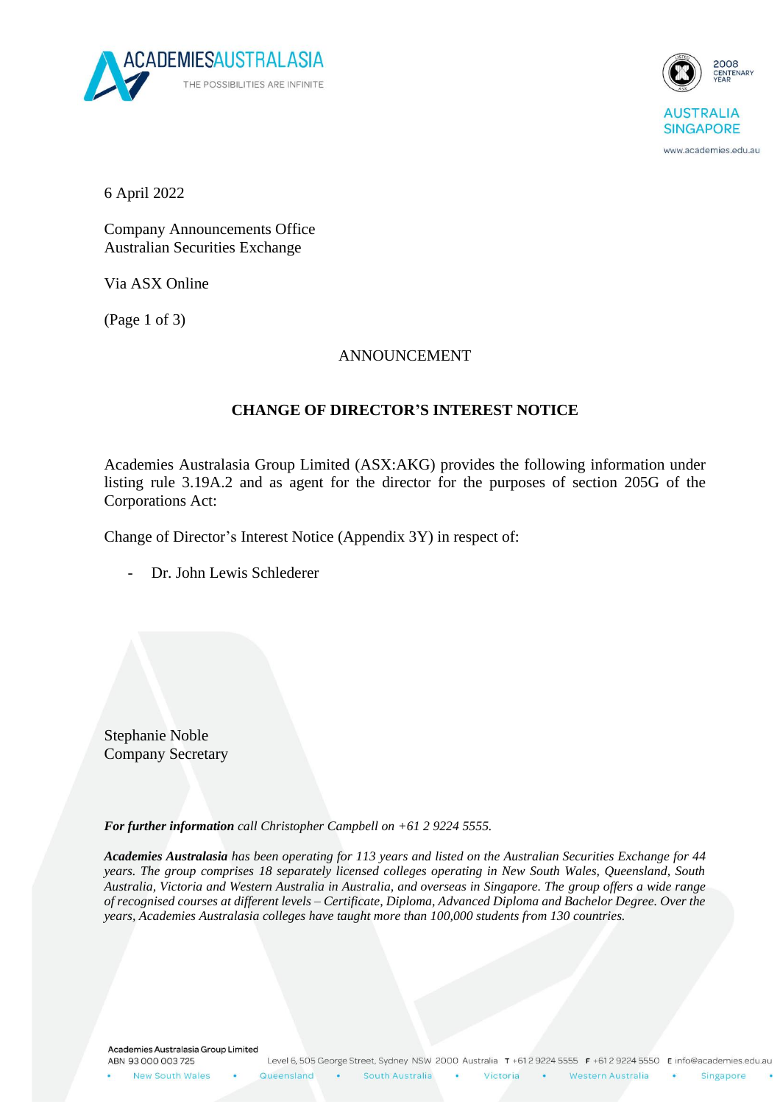



www.academies.edu.au

6 April 2022

Company Announcements Office Australian Securities Exchange

Via ASX Online

(Page 1 of 3)

### ANNOUNCEMENT

## **CHANGE OF DIRECTOR'S INTEREST NOTICE**

Academies Australasia Group Limited (ASX:AKG) provides the following information under listing rule 3.19A.2 and as agent for the director for the purposes of section 205G of the Corporations Act:

Change of Director's Interest Notice (Appendix 3Y) in respect of:

Dr. John Lewis Schlederer

Stephanie Noble Company Secretary

*For further information call Christopher Campbell on +61 2 9224 5555.*

*Academies Australasia has been operating for 113 years and listed on the Australian Securities Exchange for 44 years. The group comprises 18 separately licensed colleges operating in New South Wales, Queensland, South Australia, Victoria and Western Australia in Australia, and overseas in Singapore. The group offers a wide range of recognised courses at different levels – Certificate, Diploma, Advanced Diploma and Bachelor Degree. Over the years, Academies Australasia colleges have taught more than 100,000 students from 130 countries.*

Academies Australasia Group Limited ABN 93 000 003 725

New South Wales

**College** Western Australia

Victoria

Singapore

 $\bullet$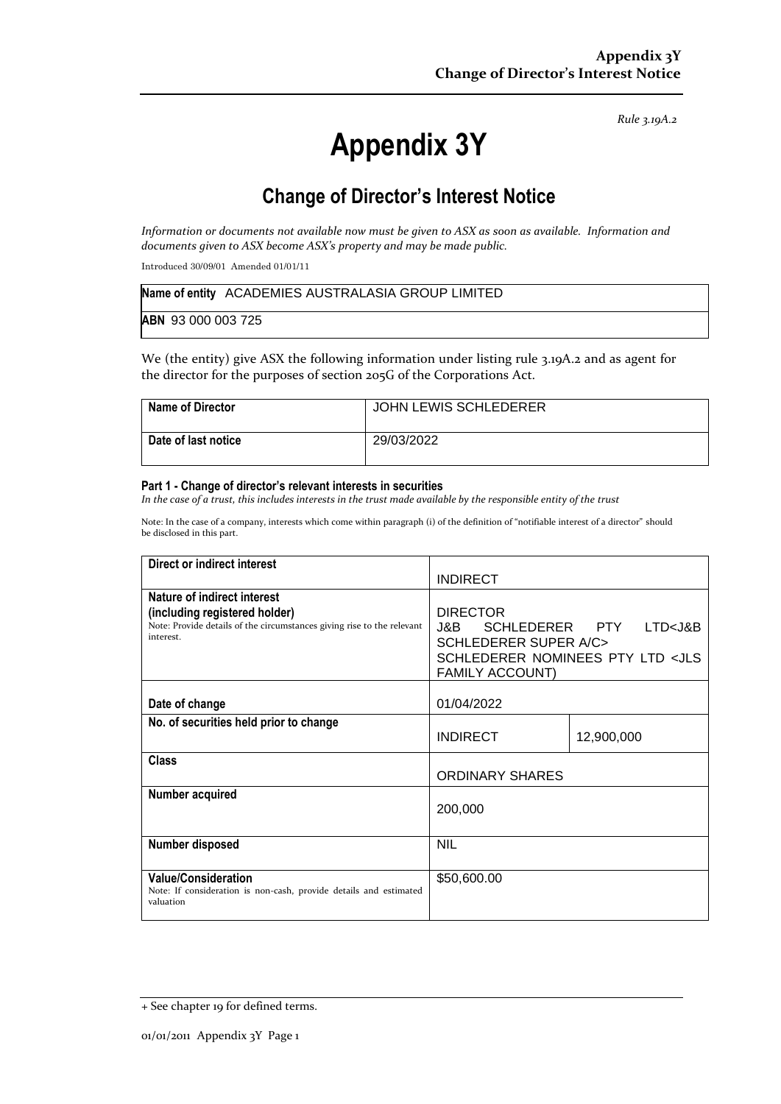*Rule 3.19A.2*

# **Appendix 3Y**

# **Change of Director's Interest Notice**

*Information or documents not available now must be given to ASX as soon as available. Information and documents given to ASX become ASX's property and may be made public.*

Introduced 30/09/01 Amended 01/01/11

|                    | Name of entity ACADEMIES AUSTRALASIA GROUP LIMITED |
|--------------------|----------------------------------------------------|
| ABN 93 000 003 725 |                                                    |

We (the entity) give ASX the following information under listing rule 3.19A.2 and as agent for the director for the purposes of section 205G of the Corporations Act.

| Name of Director    | <b>JOHN LEWIS SCHLEDERER</b> |
|---------------------|------------------------------|
| Date of last notice | 29/03/2022                   |

#### **Part 1 - Change of director's relevant interests in securities**

*In the case of a trust, this includes interests in the trust made available by the responsible entity of the trust*

Note: In the case of a company, interests which come within paragraph (i) of the definition of "notifiable interest of a director" should be disclosed in this part.

| Direct or indirect interest                                                                                                                         |                                                                                                                                                                    |            |
|-----------------------------------------------------------------------------------------------------------------------------------------------------|--------------------------------------------------------------------------------------------------------------------------------------------------------------------|------------|
|                                                                                                                                                     | <b>INDIRECT</b>                                                                                                                                                    |            |
| Nature of indirect interest<br>(including registered holder)<br>Note: Provide details of the circumstances giving rise to the relevant<br>interest. | <b>DIRECTOR</b><br>J&B SCHLEDERER PTY LTD <j&b<br><b>SCHLEDERER SUPER A/C&gt;</b><br/>SCHLEDERER NOMINEES PTY LTD <jls<br><b>FAMILY ACCOUNT)</b></jls<br></j&b<br> |            |
| Date of change                                                                                                                                      | 01/04/2022                                                                                                                                                         |            |
| No. of securities held prior to change                                                                                                              | <b>INDIRECT</b>                                                                                                                                                    | 12,900,000 |
| <b>Class</b>                                                                                                                                        | <b>ORDINARY SHARES</b>                                                                                                                                             |            |
| Number acquired                                                                                                                                     | 200,000                                                                                                                                                            |            |
| <b>Number disposed</b>                                                                                                                              | <b>NIL</b>                                                                                                                                                         |            |
| <b>Value/Consideration</b><br>Note: If consideration is non-cash, provide details and estimated<br>valuation                                        | \$50,600.00                                                                                                                                                        |            |

<sup>+</sup> See chapter 19 for defined terms.